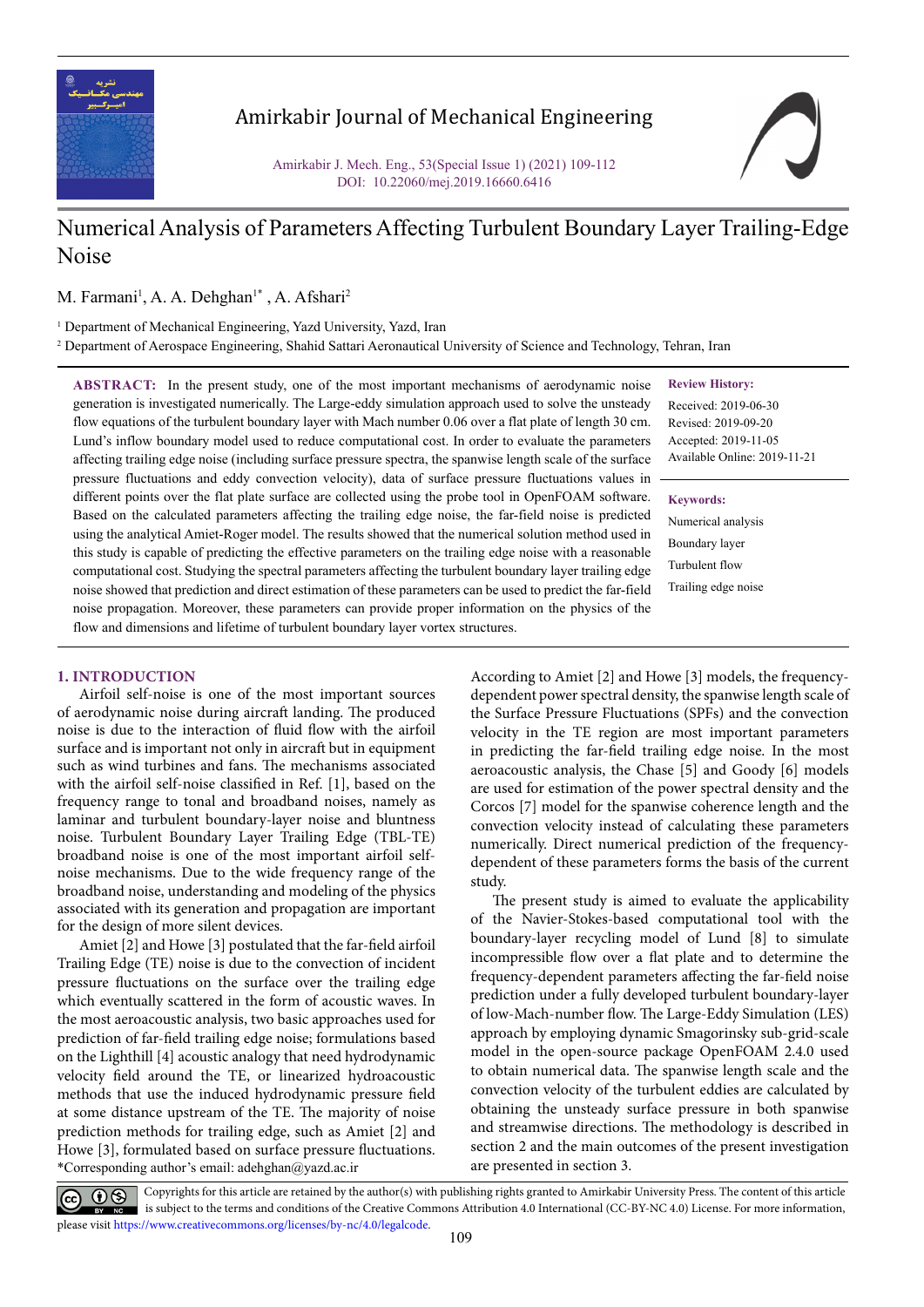

## Amirkabir Journal of Mechanical Engineering

Amirkabir J. Mech. Eng., 53(Special Issue 1) (2021) 109-112 DOI: 10.22060/mej.2019.16660.6416

## Numerical Analysis of Parameters Affecting Turbulent Boundary Layer Trailing-Edge Noise

M. Farmani<sup>1</sup>, A. A. Dehghan<sup>1\*</sup>, A. Afshari<sup>2</sup>

<sup>1</sup> Department of Mechanical Engineering, Yazd University, Yazd, Iran

2 Department of Aerospace Engineering, Shahid Sattari Aeronautical University of Science and Technology, Tehran, Iran

**ABSTRACT:** In the present study, one of the most important mechanisms of aerodynamic noise generation is investigated numerically. The Large-eddy simulation approach used to solve the unsteady flow equations of the turbulent boundary layer with Mach number 0.06 over a flat plate of length 30 cm. Lund's inflow boundary model used to reduce computational cost. In order to evaluate the parameters affecting trailing edge noise (including surface pressure spectra, the spanwise length scale of the surface pressure fluctuations and eddy convection velocity), data of surface pressure fluctuations values in different points over the flat plate surface are collected using the probe tool in OpenFOAM software. Based on the calculated parameters affecting the trailing edge noise, the far-field noise is predicted using the analytical Amiet-Roger model. The results showed that the numerical solution method used in this study is capable of predicting the effective parameters on the trailing edge noise with a reasonable computational cost. Studying the spectral parameters affecting the turbulent boundary layer trailing edge noise showed that prediction and direct estimation of these parameters can be used to predict the far-field noise propagation. Moreover, these parameters can provide proper information on the physics of the flow and dimensions and lifetime of turbulent boundary layer vortex structures.

## **Review History:**

Received: 2019-06-30 Revised: 2019-09-20 Accepted: 2019-11-05 Available Online: 2019-11-21

### **Keywords:**

Numerical analysis Boundary layer Turbulent flow Trailing edge noise

## **1. INTRODUCTION**

Airfoil self-noise is one of the most important sources of aerodynamic noise during aircraft landing. The produced noise is due to the interaction of fluid flow with the airfoil surface and is important not only in aircraft but in equipment such as wind turbines and fans. The mechanisms associated with the airfoil self-noise classified in Ref. [1], based on the frequency range to tonal and broadband noises, namely as laminar and turbulent boundary-layer noise and bluntness noise. Turbulent Boundary Layer Trailing Edge (TBL-TE) broadband noise is one of the most important airfoil selfnoise mechanisms. Due to the wide frequency range of the broadband noise, understanding and modeling of the physics associated with its generation and propagation are important for the design of more silent devices.

\*Corresponding author's email: adehghan@yazd.ac.ir Amiet [2] and Howe [3] postulated that the far-field airfoil Trailing Edge (TE) noise is due to the convection of incident pressure fluctuations on the surface over the trailing edge which eventually scattered in the form of acoustic waves. In the most aeroacoustic analysis, two basic approaches used for prediction of far-field trailing edge noise; formulations based on the Lighthill [4] acoustic analogy that need hydrodynamic velocity field around the TE, or linearized hydroacoustic methods that use the induced hydrodynamic pressure field at some distance upstream of the TE. The majority of noise prediction methods for trailing edge, such as Amiet [2] and Howe [3], formulated based on surface pressure fluctuations. According to Amiet [2] and Howe [3] models, the frequencydependent power spectral density, the spanwise length scale of the Surface Pressure Fluctuations (SPFs) and the convection velocity in the TE region are most important parameters in predicting the far-field trailing edge noise. In the most aeroacoustic analysis, the Chase [5] and Goody [6] models are used for estimation of the power spectral density and the Corcos [7] model for the spanwise coherence length and the convection velocity instead of calculating these parameters numerically. Direct numerical prediction of the frequencydependent of these parameters forms the basis of the current study.

The present study is aimed to evaluate the applicability of the Navier-Stokes-based computational tool with the boundary-layer recycling model of Lund [8] to simulate incompressible flow over a flat plate and to determine the frequency-dependent parameters affecting the far-field noise prediction under a fully developed turbulent boundary-layer of low-Mach-number flow. The Large-Eddy Simulation (LES) approach by employing dynamic Smagorinsky sub-grid-scale model in the open-source package OpenFOAM 2.4.0 used to obtain numerical data. The spanwise length scale and the convection velocity of the turbulent eddies are calculated by obtaining the unsteady surface pressure in both spanwise and streamwise directions. The methodology is described in section 2 and the main outcomes of the present investigation are presented in section 3.

 Copyrights for this article are retained by the author(s) with publishing rights granted to Amirkabir University Press. The content of this article is subject to the terms and conditions of the Creative Commons Attribution 4.0 International (CC-BY-NC 4.0) License. For more information, please visit https://www.creativecommons.org/licenses/by-nc/4.0/legalcode.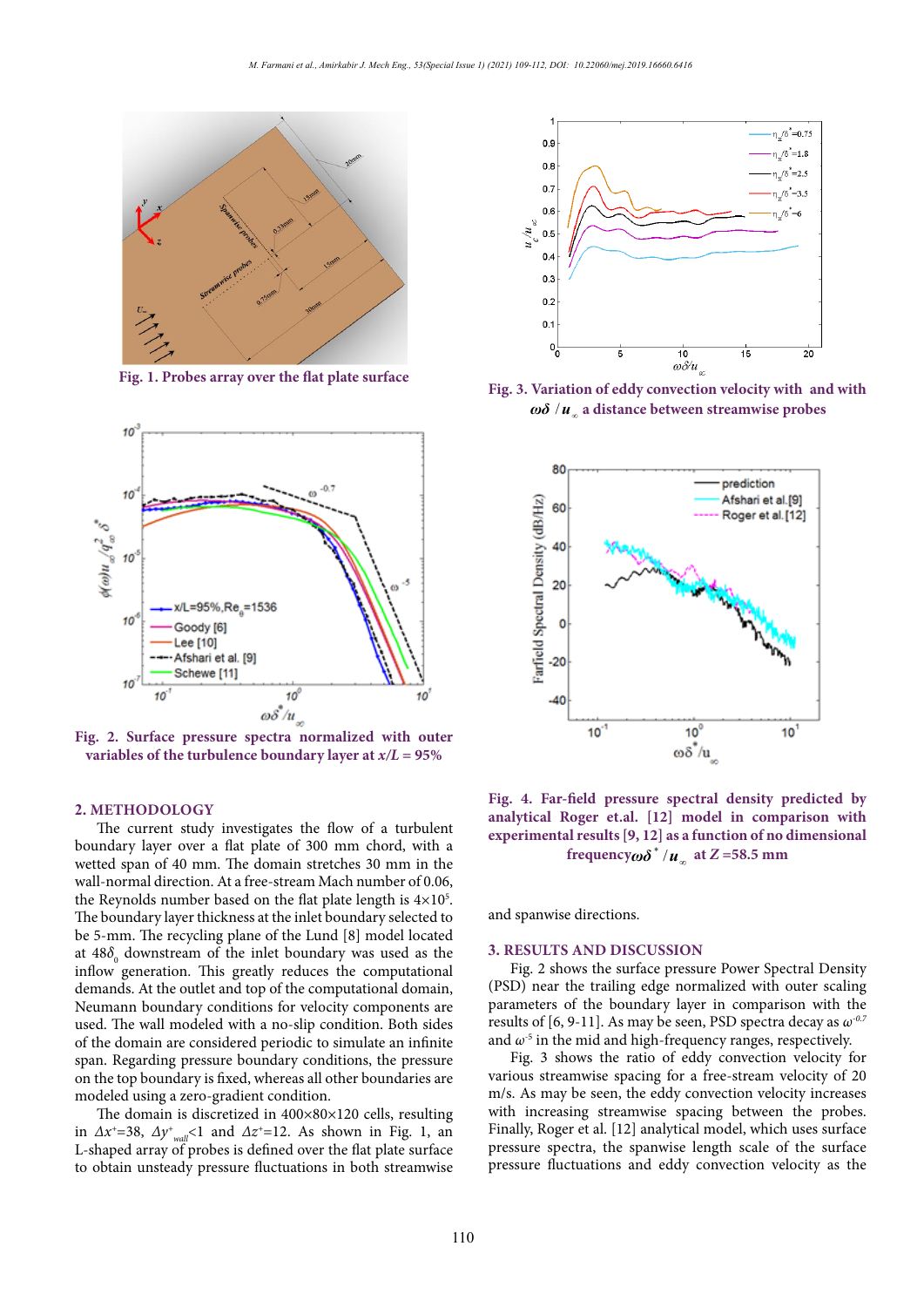

**Fig. 1. Probes array over the flat plate surface Fig. 1. Probes array over the flat plate surface**



rig. 2. Surface pressure spectra normalized with outer<br>variables of the turbulence boundary layer at  $x/L = 95%$ **Fig. 2. Surface pressure spectra normalized with outer** range is due to the utilization of the utilization of the utilization of the utilization of the utilization of  $\frac{d}{dt}$ 

#### **2. METHODOLOGY**  $\mathbf{b}$  are  $\mathbf{b}$  and  $\mathbf{b}$

2. METHODOLOGT<br>The current study investigates the flow of a turbulent boundary layer over a flat plate of 300 mm chord, with a wetted span of 40 mm. The domain stretches 30 mm in the wall-normal direction. At a free-stream Mach number of 0.06, the Reynolds number based on the flat plate length is  $4 \times 10^5$ . The boundary layer thickness at the inlet boundary selected to  $\overline{\mathbf{u}}$ be 5-mm. The recycling plane of the Lund  $[8]$  model located  $\frac{1}{2}$ at 48 $\delta_{\raisebox{1pt}{\tiny 0}}$  downstream of the inlet boundary was used as the at  $400<sub>o</sub>$  downstream of the linet boundary was used as the influor generation. This greatly reduces the computational demands. At the outlet and top of the computational domain, *z*=**585** maxwelled in Fig. 4. *Z*=585 mm as presented in Fig. 3. Reumann boundary conditions for velocity components are used. The wall modeled with a no-slip condition. Both sides of the domain are considered periodic to simulate an infinite span. Regarding pressure boundary conditions, the pressure on the top boundary is fixed, whereas all other boundaries are modeled using a zero-gradient condition. correction in Ref. *according to the correction* 

The domain is discretized in  $400\times80\times120$  cells, resulting in  $\Delta x^+ = 38$ ,  $\Delta y^+_{wall} < 1$  and  $\Delta z^+ = 12$ . As shown in Fig. 1, an Finally, Roger L-shaped array of probes is defined over the flat plate surface pressure specific to the result of applying the result of applying the results of applying the results of applying the results of the results of the results o to obtain unsteady pressure fluctuations in both streamwise pressure fluctu



 $\omega\delta/u_{\infty}$  a distance between streamwise probes Fig. 3. Variation of eddy convection velocity with and with region is the flow function of the turbulent structure in the turbulent structure in the turbulent structure in the turbulent structure in the turbulent structure in the turbulent structure in the turbulent structure in th



Fig. 4. Far-field pressure spectral density predicted by analytical Roger et.al. [12] model in comparison with **experimental results [9, 12] as a function of no dimensional experimental results [9, 12] as a function of no dimensional frequency** $\omega \delta^* / u_{\infty}$  at  $Z = 58.5$  mm

and spanwise directions.

# **3. RESULTS AND DISCUSSION**

**EXESULTS AND DISCUSSION**<br>Fig. 2 shows the surface pressure Power Spectral Density (PSD) near the trailing edge normalized with outer scaling parameters of the boundary layer in comparison with the results of [6, 9-11]. As may be seen, PSD spectra decay as  $\omega^{0.7}$ and  $\omega$ <sup>-5</sup> in the mid and high-frequency ranges, respectively. Fig. 2 shows the surface pressure Power Spectral Def

Fig. 3 shows the ratio of eddy convection velocity for various streamwise spacing for a free-stream velocity of 20 m/s. As may be seen, the eddy convection velocity increases with increasing streamwise spacing between the probes. Finally, Roger et al. [12] analytical model, which uses surface pressure spectra, the spanwise length scale of the surface pressure fluctuations and eddy convection velocity as the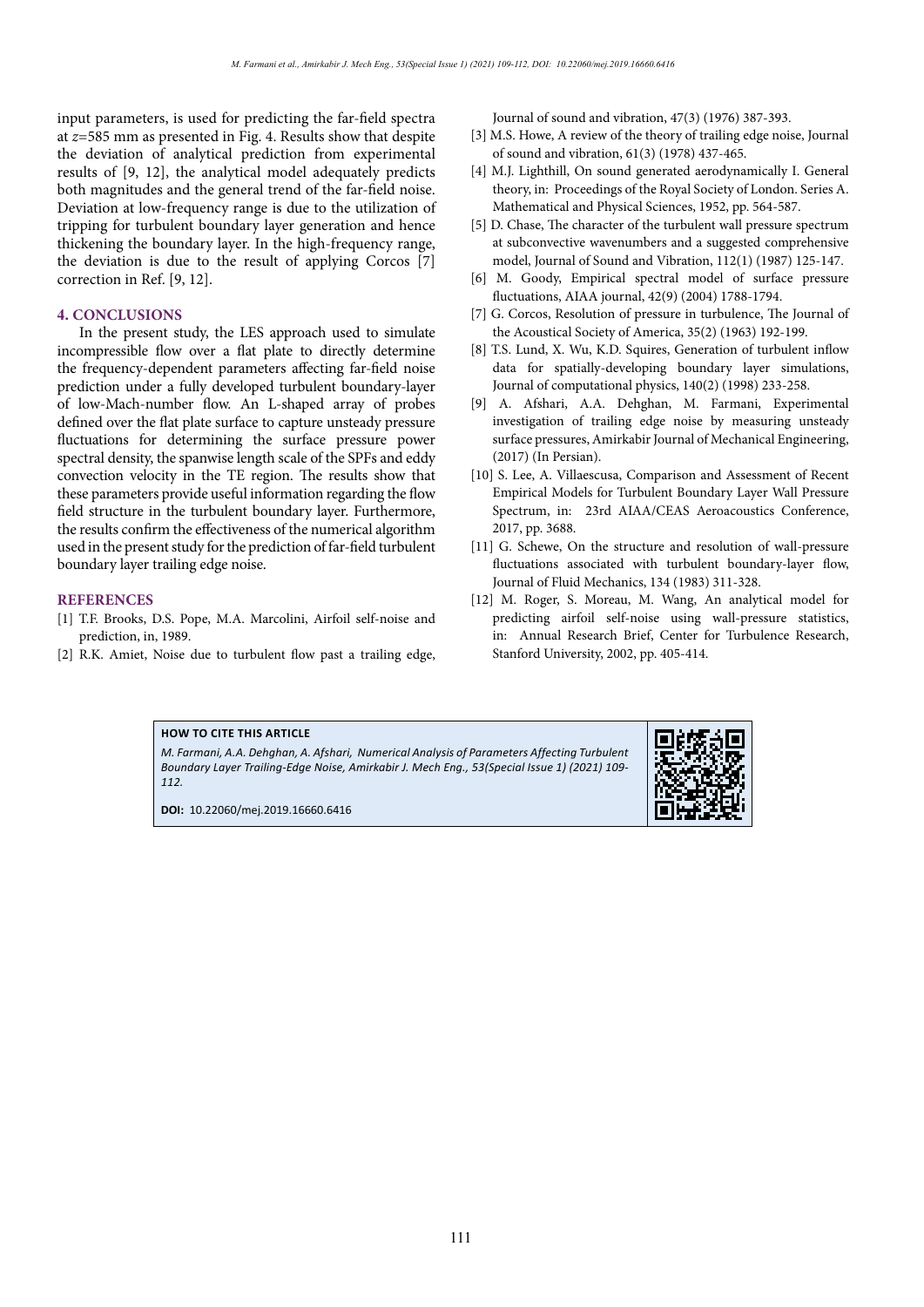input parameters, is used for predicting the far-field spectra at *z*=585 mm as presented in Fig. 4. Results show that despite the deviation of analytical prediction from experimental results of [9, 12], the analytical model adequately predicts both magnitudes and the general trend of the far-field noise. Deviation at low-frequency range is due to the utilization of tripping for turbulent boundary layer generation and hence thickening the boundary layer. In the high-frequency range, the deviation is due to the result of applying Corcos [7] correction in Ref. [9, 12].

## **4. CONCLUSIONS**

In the present study, the LES approach used to simulate incompressible flow over a flat plate to directly determine the frequency-dependent parameters affecting far-field noise prediction under a fully developed turbulent boundary-layer of low-Mach-number flow. An L-shaped array of probes defined over the flat plate surface to capture unsteady pressure fluctuations for determining the surface pressure power spectral density, the spanwise length scale of the SPFs and eddy convection velocity in the TE region. The results show that these parameters provide useful information regarding the flow field structure in the turbulent boundary layer. Furthermore, the results confirm the effectiveness of the numerical algorithm used in the present study for the prediction of far-field turbulent boundary layer trailing edge noise.

## **REFERENCES**

- [1] T.F. Brooks, D.S. Pope, M.A. Marcolini, Airfoil self-noise and prediction, in, 1989.
- [2] R.K. Amiet, Noise due to turbulent flow past a trailing edge,

Journal of sound and vibration, 47(3) (1976) 387-393.

- [3] M.S. Howe, A review of the theory of trailing edge noise, Journal of sound and vibration, 61(3) (1978) 437-465.
- [4] M.J. Lighthill, On sound generated aerodynamically I. General theory, in: Proceedings of the Royal Society of London. Series A. Mathematical and Physical Sciences, 1952, pp. 564-587.
- [5] D. Chase, The character of the turbulent wall pressure spectrum at subconvective wavenumbers and a suggested comprehensive model, Journal of Sound and Vibration, 112(1) (1987) 125-147.
- [6] M. Goody, Empirical spectral model of surface pressure fluctuations, AIAA journal, 42(9) (2004) 1788-1794.
- [7] G. Corcos, Resolution of pressure in turbulence, The Journal of the Acoustical Society of America, 35(2) (1963) 192-199.
- [8] T.S. Lund, X. Wu, K.D. Squires, Generation of turbulent inflow data for spatially-developing boundary layer simulations, Journal of computational physics, 140(2) (1998) 233-258.
- [9] A. Afshari, A.A. Dehghan, M. Farmani, Experimental investigation of trailing edge noise by measuring unsteady surface pressures, Amirkabir Journal of Mechanical Engineering, (2017) (In Persian).
- [10] S. Lee, A. Villaescusa, Comparison and Assessment of Recent Empirical Models for Turbulent Boundary Layer Wall Pressure Spectrum, in: 23rd AIAA/CEAS Aeroacoustics Conference, 2017, pp. 3688.
- [11] G. Schewe, On the structure and resolution of wall-pressure fluctuations associated with turbulent boundary-layer flow, Journal of Fluid Mechanics, 134 (1983) 311-328.
- [12] M. Roger, S. Moreau, M. Wang, An analytical model for predicting airfoil self-noise using wall-pressure statistics, in: Annual Research Brief, Center for Turbulence Research, Stanford University, 2002, pp. 405-414.

## **HOW TO CITE THIS ARTICLE**

*M. Farmani, A.A. Dehghan, A. Afshari, Numerical Analysis of Parameters Affecting Turbulent Boundary Layer Trailing-Edge Noise, Amirkabir J. Mech Eng., 53(Special Issue 1) (2021) 109- 112.*

**DOI:** 10.22060/mej.2019.16660.6416